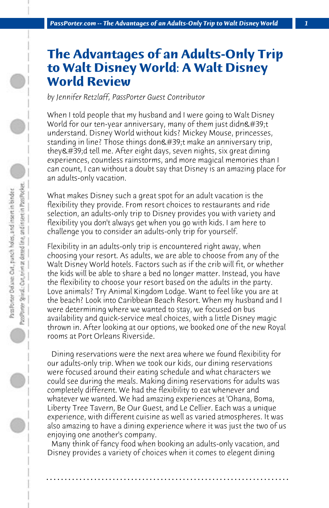## **The Advantages of an Adults-Only Trip to Walt Disney World: A Walt Disney World Review**

*by Jennifer Retzlaff, PassPorter Guest Contributor*

When I told people that my husband and I were going to Walt Disney World for our ten-year anniversary, many of them just didn $\&\#39$ ;t understand. Disney World without kids? Mickey Mouse, princesses, standing in line? Those things don't make an anniversary trip,  $they$ 'd tell me. After eight days, seven nights, six great dining experiences, countless rainstorms, and more magical memories than I can count, I can without a doubt say that Disney is an amazing place for an adults-only vacation.

What makes Disney such a great spot for an adult vacation is the flexibility they provide. From resort choices to restaurants and ride selection, an adults-only trip to Disney provides you with variety and flexibility you don't always get when you go with kids. I am here to challenge you to consider an adults-only trip for yourself.

Flexibility in an adults-only trip is encountered right away, when choosing your resort. As adults, we are able to choose from any of the Walt Disney World hotels. Factors such as if the crib will fit, or whether the kids will be able to share a bed no longer matter. Instead, you have the flexibility to choose your resort based on the adults in the party. Love animals? Try Animal Kingdom Lodge. Want to feel like you are at the beach? Look into Caribbean Beach Resort. When my husband and I were determining where we wanted to stay, we focused on bus availability and quick-service meal choices, with a little Disney magic thrown in. After looking at our options, we booked one of the new Royal rooms at Port Orleans Riverside.

 Dining reservations were the next area where we found flexibility for our adults-only trip. When we took our kids, our dining reservations were focused around their eating schedule and what characters we could see during the meals. Making dining reservations for adults was completely different. We had the flexibility to eat whenever and whatever we wanted. We had amazing experiences at 'Ohana, Boma, Liberty Tree Tavern, Be Our Guest, and Le Cellier. Each was a unique experience, with different cuisine as well as varied atmospheres. It was also amazing to have a dining experience where it was just the two of us enjoying one another's company.

 Many think of fancy food when booking an adults-only vacation, and Disney provides a variety of choices when it comes to elegent dining

**. . . . . . . . . . . . . . . . . . . . . . . . . . . . . . . . . . . . . . . . . . . . . . . . . . . . . . . . . . . . . . . . . .**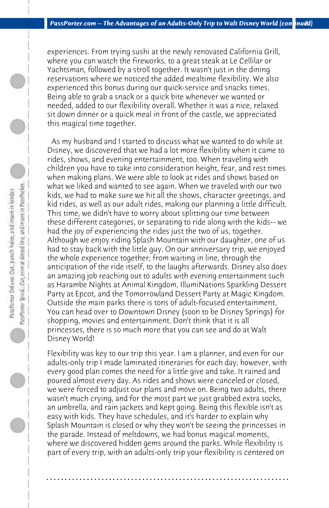experiences. From trying sushi at the newly renovated California Grill, where you can watch the fireworks, to a great steak at Le Cellilar or Yachtsman, followed by a stroll together. It wasn't just in the dining reservations where we noticed the added mealtime flexibility. We also experienced this bonus during our quick-service and snacks times. Being able to grab a snack or a quick bite whenever we wanted or needed, added to our flexibility overall. Whether it was a nice, relaxed sit down dinner or a quick meal in front of the castle, we appreciated this magical time together.

 As my husband and I started to discuss what we wanted to do while at Disney, we discovered that we had a lot more flexibility when it came to rides, shows, and evening entertainment, too. When traveling with children you have to take into consideration height, fear, and rest times when making plans. We were able to look at rides and shows based on what we liked and wanted to see again. When we traveled with our two kids, we had to make sure we hit all the shows, character greetings, and kid rides, as well as our adult rides, making our planning a little difficult. This time, we didn't have to worry about splitting our time between these different categories, or separating to ride along with the kids-- we had the joy of experiencing the rides just the two of us, together. Although we enjoy riding Splash Mountain with our daughter, one of us had to stay back with the little guy. On our anniversary trip, we enjoyed the whole experience together; from waiting in line, through the anticipation of the ride itself, to the laughs afterwards. Disney also does an amazing job reaching out to adults with evening entertainment such as Harambe Nights at Animal Kingdom, IllumiNations Sparkling Dessert Party at Epcot, and the Tomorrowland Dessert Party at Magic Kingdom. Outside the main parks there is tons of adult-focused entertainment. You can head over to Downtown Disney (soon to be Disney Springs) for shopping, movies and entertainment. Don't think that it is all princesses, there is so much more that you can see and do at Walt Disney World!

PassPorter Spiral: Car, trim at deteed line, and insert in Pass Pocket. PassPorter Delaxe: Out, panch holes, and insert in binder

> Flexibility was key to our trip this year. I am a planner, and even for our adults-only trip I made laminated itineraries for each day; however, with every good plan comes the need for a little give and take. It rained and poured almost every day. As rides and shows were canceled or closed, we were forced to adjust our plans and move on. Being two adults, there wasn't much crying, and for the most part we just grabbed extra socks, an umbrella, and rain jackets and kept going. Being this flexible isn't as easy with kids. They have schedules, and it's harder to explain why Splash Mountain is closed or why they won't be seeing the princesses in the parade. Instead of meltdowns, we had bonus magical moments, where we discovered hidden gems around the parks. While flexibility is part of every trip, with an adults-only trip your flexibility is centered on

> **. . . . . . . . . . . . . . . . . . . . . . . . . . . . . . . . . . . . . . . . . . . . . . . . . . . . . . . . . . . . . . . . . .**